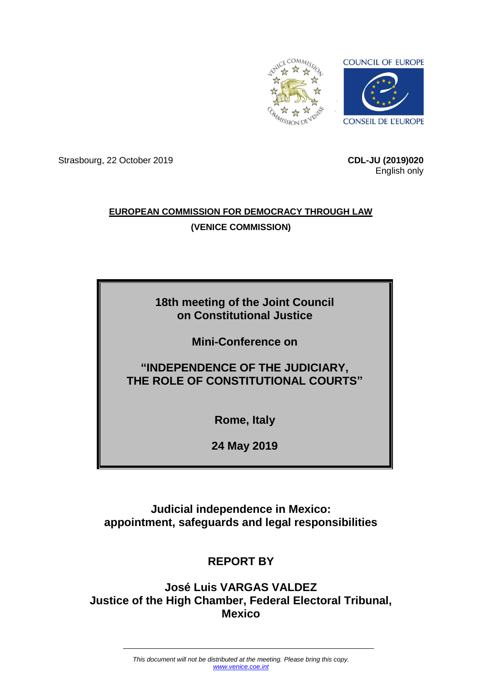

Strasbourg, 22 October 2019 **CDL-JU (2019)020**

English only

# **EUROPEAN COMMISSION FOR DEMOCRACY THROUGH LAW (VENICE COMMISSION)**

# **18th meeting of the Joint Council on Constitutional Justice**

**Mini-Conference on**

# **"INDEPENDENCE OF THE JUDICIARY, THE ROLE OF CONSTITUTIONAL COURTS"**

**Rome, Italy**

**24 May 2019**

**Judicial independence in Mexico: appointment, safeguards and legal responsibilities** 

# **REPORT BY**

**José Luis VARGAS VALDEZ Justice of the High Chamber, Federal Electoral Tribunal, Mexico**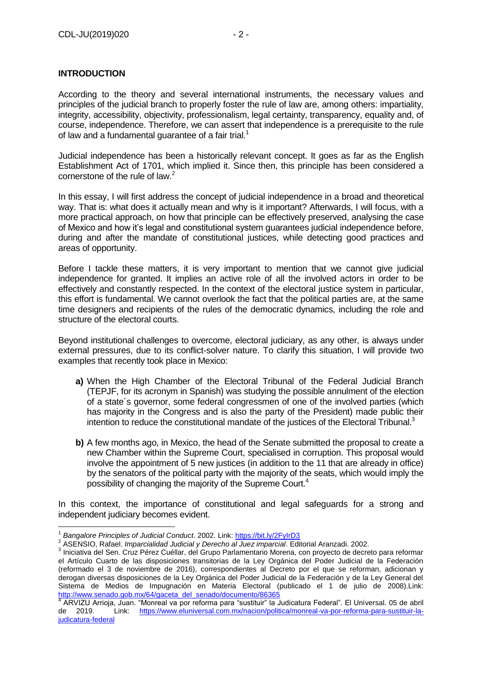## **INTRODUCTION**

According to the theory and several international instruments, the necessary values and principles of the judicial branch to properly foster the rule of law are, among others: impartiality, integrity, accessibility, objectivity, professionalism, legal certainty, transparency, equality and, of course, independence. Therefore, we can assert that independence is a prerequisite to the rule of law and a fundamental quarantee of a fair trial.<sup>1</sup>

Judicial independence has been a historically relevant concept. It goes as far as the English Establishment Act of 1701, which implied it. Since then, this principle has been considered a cornerstone of the rule of law.<sup>2</sup>

In this essay, I will first address the concept of judicial independence in a broad and theoretical way. That is: what does it actually mean and why is it important? Afterwards, I will focus, with a more practical approach, on how that principle can be effectively preserved, analysing the case of Mexico and how it's legal and constitutional system guarantees judicial independence before, during and after the mandate of constitutional justices, while detecting good practices and areas of opportunity.

Before I tackle these matters, it is very important to mention that we cannot give judicial independence for granted. It implies an active role of all the involved actors in order to be effectively and constantly respected. In the context of the electoral justice system in particular, this effort is fundamental. We cannot overlook the fact that the political parties are, at the same time designers and recipients of the rules of the democratic dynamics, including the role and structure of the electoral courts.

Beyond institutional challenges to overcome, electoral judiciary, as any other, is always under external pressures, due to its conflict-solver nature. To clarify this situation, I will provide two examples that recently took place in Mexico:

- **a)** When the High Chamber of the Electoral Tribunal of the Federal Judicial Branch (TEPJF, for its acronym in Spanish) was studying the possible annulment of the election of a state´s governor, some federal congressmen of one of the involved parties (which has majority in the Congress and is also the party of the President) made public their intention to reduce the constitutional mandate of the justices of the Electoral Tribunal.<sup>3</sup>
- **b)** A few months ago, in Mexico, the head of the Senate submitted the proposal to create a new Chamber within the Supreme Court, specialised in corruption. This proposal would involve the appointment of 5 new justices (in addition to the 11 that are already in office) by the senators of the political party with the majority of the seats, which would imply the possibility of changing the majority of the Supreme Court.<sup>4</sup>

In this context, the importance of constitutional and legal safeguards for a strong and independent judiciary becomes evident.

1

<sup>1</sup> *Bangalore Principles of Judicial Conduct*. 2002. Link[: https://bit.ly/2FyIrD3](https://bit.ly/2FyIrD3)

<sup>2</sup> ASENSIO, Rafael. *Imparcialidad Judicial y Derecho al Juez imparcial*. Editorial Aranzadi. 2002.

<sup>&</sup>lt;sup>3</sup> Iniciativa del Sen. Cruz Pérez Cuéllar, del Grupo Parlamentario Morena, con proyecto de decreto para reformar el Artículo Cuarto de las disposiciones transitorias de la Ley Orgánica del Poder Judicial de la Federación (reformado el 3 de noviembre de 2016), correspondientes al Decreto por el que se reforman, adicionan y derogan diversas disposiciones de la Ley Orgánica del Poder Judicial de la Federación y de la Ley General del Sistema de Medios de Impugnación en Materia Electoral (publicado el 1 de julio de 2008).Link: [http://www.senado.gob.mx/64/gaceta\\_del\\_senado/documento/86365](http://www.senado.gob.mx/64/gaceta_del_senado/documento/86365)<br>4 ADV/7U Arrieja Juan "Menreal ve ner referme nere "quetituir" le

ARVIZU Arrioja, Juan. "Monreal va por reforma para "sustituir" la Judicatura Federal". El Universal. 05 de abril de 2019. Link: [https://www.eluniversal.com.mx/nacion/politica/monreal-va-por-reforma-para-sustituir-la](https://www.eluniversal.com.mx/nacion/politica/monreal-va-por-reforma-para-sustituir-la-judicatura-federal)[judicatura-federal](https://www.eluniversal.com.mx/nacion/politica/monreal-va-por-reforma-para-sustituir-la-judicatura-federal)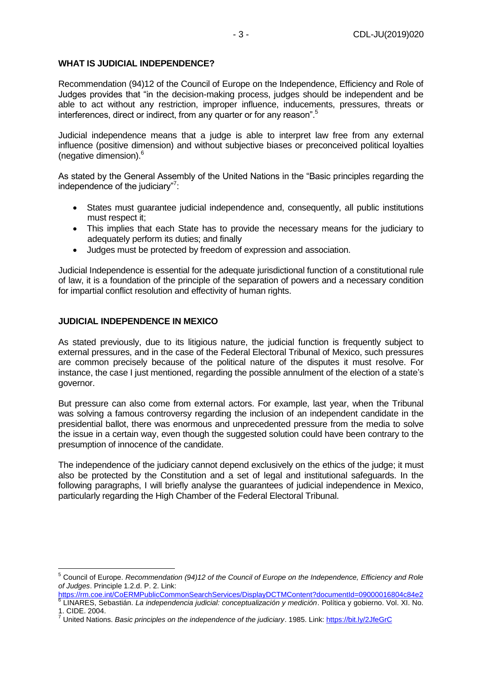#### **WHAT IS JUDICIAL INDEPENDENCE?**

Recommendation (94)12 of the Council of Europe on the Independence, Efficiency and Role of Judges provides that "in the decision-making process, judges should be independent and be able to act without any restriction, improper influence, inducements, pressures, threats or interferences, direct or indirect, from any quarter or for any reason".<sup>5</sup>

Judicial independence means that a judge is able to interpret law free from any external influence (positive dimension) and without subjective biases or preconceived political loyalties (negative dimension).<sup>6</sup>

As stated by the General Assembly of the United Nations in the "Basic principles regarding the independence of the judiciary"?:

- States must guarantee judicial independence and, consequently, all public institutions must respect it;
- This implies that each State has to provide the necessary means for the judiciary to adequately perform its duties; and finally
- Judges must be protected by freedom of expression and association.

Judicial Independence is essential for the adequate jurisdictional function of a constitutional rule of law, it is a foundation of the principle of the separation of powers and a necessary condition for impartial conflict resolution and effectivity of human rights.

#### **JUDICIAL INDEPENDENCE IN MEXICO**

1

As stated previously, due to its litigious nature, the judicial function is frequently subject to external pressures, and in the case of the Federal Electoral Tribunal of Mexico, such pressures are common precisely because of the political nature of the disputes it must resolve. For instance, the case I just mentioned, regarding the possible annulment of the election of a state's governor.

But pressure can also come from external actors. For example, last year, when the Tribunal was solving a famous controversy regarding the inclusion of an independent candidate in the presidential ballot, there was enormous and unprecedented pressure from the media to solve the issue in a certain way, even though the suggested solution could have been contrary to the presumption of innocence of the candidate.

The independence of the judiciary cannot depend exclusively on the ethics of the judge; it must also be protected by the Constitution and a set of legal and institutional safeguards. In the following paragraphs, I will briefly analyse the guarantees of judicial independence in Mexico, particularly regarding the High Chamber of the Federal Electoral Tribunal.

<sup>5</sup> Council of Europe. *Recommendation (94)12 of the Council of Europe on the Independence, Efficiency and Role of Judges*. Principle 1.2.d. P. 2. Link:

<https://rm.coe.int/CoERMPublicCommonSearchServices/DisplayDCTMContent?documentId=09000016804c84e2> 6 LINARES, Sebastián. *La independencia judicial: conceptualización y medición*. Política y gobierno. Vol. XI. No. 1. CIDE. 2004.

<sup>7</sup> United Nations. *Basic principles on the independence of the judiciary*. 1985. Link:<https://bit.ly/2JfeGrC>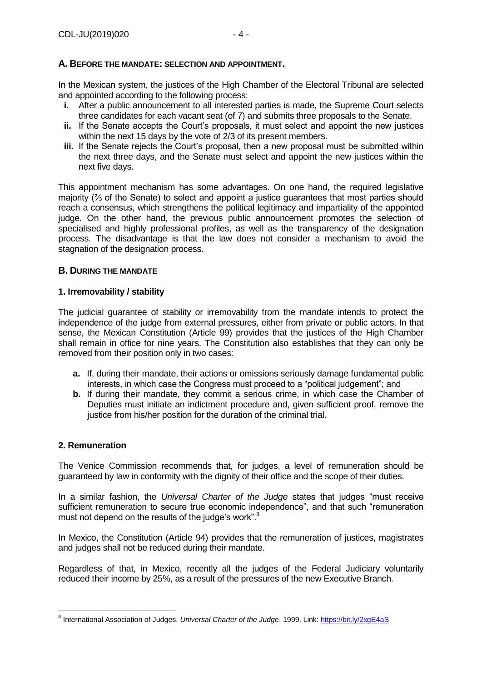#### **A. BEFORE THE MANDATE: SELECTION AND APPOINTMENT.**

In the Mexican system, the justices of the High Chamber of the Electoral Tribunal are selected and appointed according to the following process:

- **i.** After a public announcement to all interested parties is made, the Supreme Court selects three candidates for each vacant seat (of 7) and submits three proposals to the Senate.
- **ii.** If the Senate accepts the Court's proposals, it must select and appoint the new justices within the next 15 days by the vote of 2/3 of its present members.
- **iii.** If the Senate rejects the Court's proposal, then a new proposal must be submitted within the next three days, and the Senate must select and appoint the new justices within the next five days.

This appointment mechanism has some advantages. On one hand, the required legislative majority (⅔ of the Senate) to select and appoint a justice guarantees that most parties should reach a consensus, which strengthens the political legitimacy and impartiality of the appointed judge. On the other hand, the previous public announcement promotes the selection of specialised and highly professional profiles, as well as the transparency of the designation process. The disadvantage is that the law does not consider a mechanism to avoid the stagnation of the designation process.

#### **B. DURING THE MANDATE**

#### **1. Irremovability / stability**

The judicial guarantee of stability or irremovability from the mandate intends to protect the independence of the judge from external pressures, either from private or public actors. In that sense, the Mexican Constitution (Article 99) provides that the justices of the High Chamber shall remain in office for nine years. The Constitution also establishes that they can only be removed from their position only in two cases:

- **a.** If, during their mandate, their actions or omissions seriously damage fundamental public interests, in which case the Congress must proceed to a "political judgement"; and
- **b.** If during their mandate, they commit a serious crime, in which case the Chamber of Deputies must initiate an indictment procedure and, given sufficient proof, remove the justice from his/her position for the duration of the criminal trial.

#### **2. Remuneration**

1

The Venice Commission recommends that, for judges, a level of remuneration should be guaranteed by law in conformity with the dignity of their office and the scope of their duties.

In a similar fashion, the *Universal Charter of the Judge* states that judges "must receive sufficient remuneration to secure true economic independence", and that such "remuneration must not depend on the results of the judge's work".<sup>8</sup>

In Mexico, the Constitution (Article 94) provides that the remuneration of justices, magistrates and judges shall not be reduced during their mandate.

Regardless of that, in Mexico, recently all the judges of the Federal Judiciary voluntarily reduced their income by 25%, as a result of the pressures of the new Executive Branch.

<sup>&</sup>lt;sup>8</sup> International Association of Judges. *Universal Charter of the Judge*. 1999. Link:<https://bit.ly/2xgE4aS>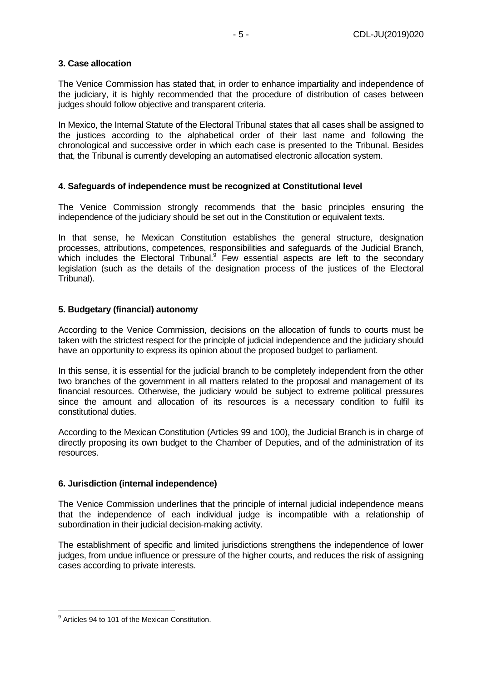# **3. Case allocation**

The Venice Commission has stated that, in order to enhance impartiality and independence of the judiciary, it is highly recommended that the procedure of distribution of cases between judges should follow objective and transparent criteria.

In Mexico, the Internal Statute of the Electoral Tribunal states that all cases shall be assigned to the justices according to the alphabetical order of their last name and following the chronological and successive order in which each case is presented to the Tribunal. Besides that, the Tribunal is currently developing an automatised electronic allocation system.

# **4. Safeguards of independence must be recognized at Constitutional level**

The Venice Commission strongly recommends that the basic principles ensuring the independence of the judiciary should be set out in the Constitution or equivalent texts.

In that sense, he Mexican Constitution establishes the general structure, designation processes, attributions, competences, responsibilities and safeguards of the Judicial Branch, which includes the Electoral Tribunal.<sup>9</sup> Few essential aspects are left to the secondary legislation (such as the details of the designation process of the justices of the Electoral Tribunal).

# **5. Budgetary (financial) autonomy**

According to the Venice Commission, decisions on the allocation of funds to courts must be taken with the strictest respect for the principle of judicial independence and the judiciary should have an opportunity to express its opinion about the proposed budget to parliament.

In this sense, it is essential for the judicial branch to be completely independent from the other two branches of the government in all matters related to the proposal and management of its financial resources. Otherwise, the judiciary would be subject to extreme political pressures since the amount and allocation of its resources is a necessary condition to fulfil its constitutional duties.

According to the Mexican Constitution (Articles 99 and 100), the Judicial Branch is in charge of directly proposing its own budget to the Chamber of Deputies, and of the administration of its resources.

# **6. Jurisdiction (internal independence)**

The Venice Commission underlines that the principle of internal judicial independence means that the independence of each individual judge is incompatible with a relationship of subordination in their judicial decision-making activity.

The establishment of specific and limited jurisdictions strengthens the independence of lower judges, from undue influence or pressure of the higher courts, and reduces the risk of assigning cases according to private interests.

 9 Articles 94 to 101 of the Mexican Constitution.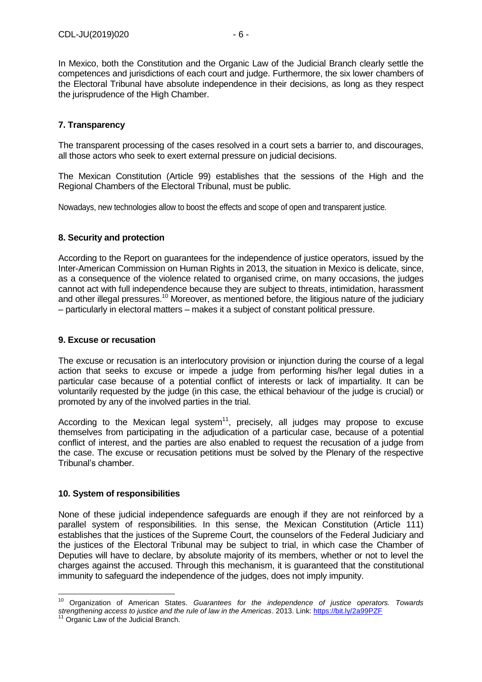In Mexico, both the Constitution and the Organic Law of the Judicial Branch clearly settle the competences and jurisdictions of each court and judge. Furthermore, the six lower chambers of the Electoral Tribunal have absolute independence in their decisions, as long as they respect the jurisprudence of the High Chamber.

# **7. Transparency**

The transparent processing of the cases resolved in a court sets a barrier to, and discourages, all those actors who seek to exert external pressure on judicial decisions.

The Mexican Constitution (Article 99) establishes that the sessions of the High and the Regional Chambers of the Electoral Tribunal, must be public.

Nowadays, new technologies allow to boost the effects and scope of open and transparent justice.

# **8. Security and protection**

According to the Report on guarantees for the independence of justice operators, issued by the Inter-American Commission on Human Rights in 2013, the situation in Mexico is delicate, since, as a consequence of the violence related to organised crime, on many occasions, the judges cannot act with full independence because they are subject to threats, intimidation, harassment and other illegal pressures.<sup>10</sup> Moreover, as mentioned before, the litigious nature of the judiciary – particularly in electoral matters – makes it a subject of constant political pressure.

## **9. Excuse or recusation**

The excuse or recusation is an interlocutory provision or injunction during the course of a legal action that seeks to excuse or impede a judge from performing his/her legal duties in a particular case because of a potential conflict of interests or lack of impartiality. It can be voluntarily requested by the judge (in this case, the ethical behaviour of the judge is crucial) or promoted by any of the involved parties in the trial.

According to the Mexican legal system $11$ , precisely, all judges may propose to excuse themselves from participating in the adjudication of a particular case, because of a potential conflict of interest, and the parties are also enabled to request the recusation of a judge from the case. The excuse or recusation petitions must be solved by the Plenary of the respective Tribunal's chamber.

#### **10. System of responsibilities**

None of these judicial independence safeguards are enough if they are not reinforced by a parallel system of responsibilities. In this sense, the Mexican Constitution (Article 111) establishes that the justices of the Supreme Court, the counselors of the Federal Judiciary and the justices of the Electoral Tribunal may be subject to trial, in which case the Chamber of Deputies will have to declare, by absolute majority of its members, whether or not to level the charges against the accused. Through this mechanism, it is guaranteed that the constitutional immunity to safeguard the independence of the judges, does not imply impunity.

1

<sup>10</sup> Organization of American States. *Guarantees for the independence of justice operators. Towards strengthening access to justice and the rule of law in the Americas*. 2013. Link:<https://bit.ly/2a99PZF>

Organic Law of the Judicial Branch.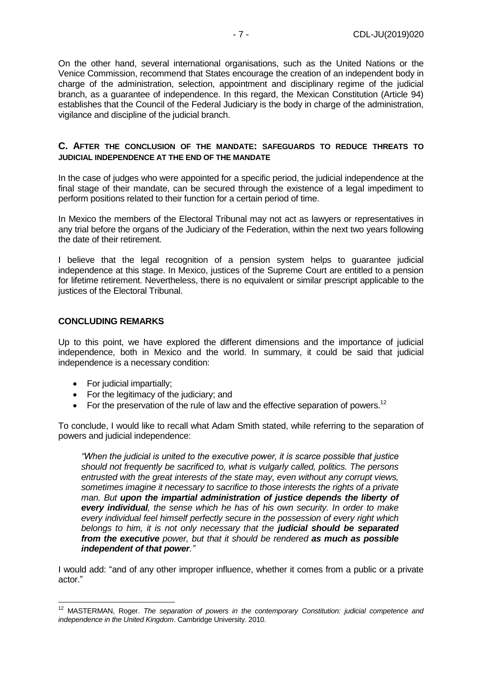On the other hand, several international organisations, such as the United Nations or the Venice Commission, recommend that States encourage the creation of an independent body in charge of the administration, selection, appointment and disciplinary regime of the judicial branch, as a guarantee of independence. In this regard, the Mexican Constitution (Article 94) establishes that the Council of the Federal Judiciary is the body in charge of the administration, vigilance and discipline of the judicial branch.

#### **C. AFTER THE CONCLUSION OF THE MANDATE: SAFEGUARDS TO REDUCE THREATS TO JUDICIAL INDEPENDENCE AT THE END OF THE MANDATE**

In the case of judges who were appointed for a specific period, the judicial independence at the final stage of their mandate, can be secured through the existence of a legal impediment to perform positions related to their function for a certain period of time.

In Mexico the members of the Electoral Tribunal may not act as lawyers or representatives in any trial before the organs of the Judiciary of the Federation, within the next two years following the date of their retirement.

I believe that the legal recognition of a pension system helps to guarantee judicial independence at this stage. In Mexico, justices of the Supreme Court are entitled to a pension for lifetime retirement. Nevertheless, there is no equivalent or similar prescript applicable to the justices of the Electoral Tribunal.

#### **CONCLUDING REMARKS**

Up to this point, we have explored the different dimensions and the importance of judicial independence, both in Mexico and the world. In summary, it could be said that judicial independence is a necessary condition:

- For judicial impartially;
- For the legitimacy of the judiciary; and
- For the preservation of the rule of law and the effective separation of powers.<sup>12</sup>

To conclude, I would like to recall what Adam Smith stated, while referring to the separation of powers and judicial independence:

*"When the judicial is united to the executive power, it is scarce possible that justice should not frequently be sacrificed to, what is vulgarly called, politics. The persons entrusted with the great interests of the state may, even without any corrupt views, sometimes imagine it necessary to sacrifice to those interests the rights of a private man. But upon the impartial administration of justice depends the liberty of every individual, the sense which he has of his own security. In order to make every individual feel himself perfectly secure in the possession of every right which belongs to him, it is not only necessary that the judicial should be separated from the executive power, but that it should be rendered as much as possible independent of that power."* 

I would add: "and of any other improper influence, whether it comes from a public or a private actor."

<sup>&</sup>lt;u>.</u> <sup>12</sup> MASTERMAN, Roger. *The separation of powers in the contemporary Constitution: judicial competence and independence in the United Kingdom*. Cambridge University. 2010.